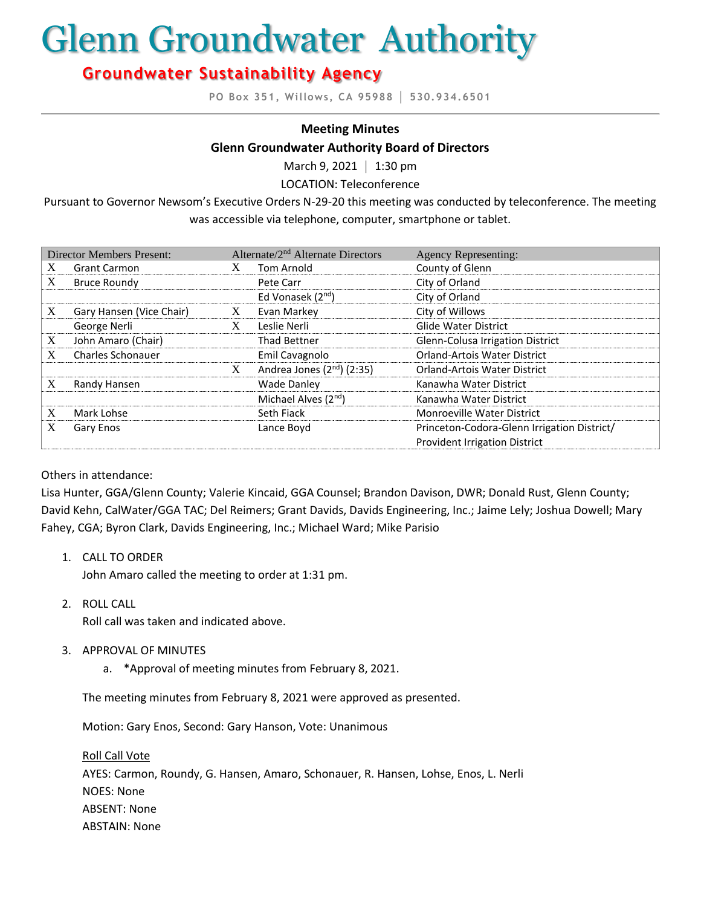# Glenn Groundwater Authority

# **Groundwater Sustainability Agency**

**PO Box 351, Willows, CA 95988 │ 530.934.6501**

#### **Meeting Minutes**

#### **Glenn Groundwater Authority Board of Directors**

March 9, 2021 **│** 1:30 pm

LOCATION: Teleconference

Pursuant to Governor Newsom's Executive Orders N-29-20 this meeting was conducted by teleconference. The meeting was accessible via telephone, computer, smartphone or tablet.

| <b>Director Members Present:</b> |                          | Alternate/2 <sup>nd</sup> Alternate Directors |                                        | <b>Agency Representing:</b>                 |
|----------------------------------|--------------------------|-----------------------------------------------|----------------------------------------|---------------------------------------------|
| X                                | <b>Grant Carmon</b>      |                                               | Tom Arnold                             | County of Glenn                             |
| X                                | <b>Bruce Roundy</b>      |                                               | Pete Carr                              | City of Orland                              |
|                                  |                          |                                               | Ed Vonasek (2 <sup>nd</sup> )          | City of Orland                              |
| X                                | Gary Hansen (Vice Chair) | X                                             | Evan Markey                            | City of Willows                             |
|                                  | George Nerli             | X                                             | Leslie Nerli                           | <b>Glide Water District</b>                 |
| X                                | John Amaro (Chair)       |                                               | <b>Thad Bettner</b>                    | Glenn-Colusa Irrigation District            |
| X                                | <b>Charles Schonauer</b> |                                               | Emil Cavagnolo                         | <b>Orland-Artois Water District</b>         |
|                                  |                          | X                                             | Andrea Jones (2 <sup>nd</sup> ) (2:35) | <b>Orland-Artois Water District</b>         |
| X                                | Randy Hansen             |                                               | <b>Wade Danley</b>                     | Kanawha Water District                      |
|                                  |                          |                                               | Michael Alves (2 <sup>nd</sup> )       | Kanawha Water District                      |
| X                                | Mark Lohse               |                                               | Seth Fiack                             | <b>Monroeville Water District</b>           |
| X                                | Gary Enos                |                                               | Lance Boyd                             | Princeton-Codora-Glenn Irrigation District/ |
|                                  |                          |                                               |                                        | <b>Provident Irrigation District</b>        |

#### Others in attendance:

Lisa Hunter, GGA/Glenn County; Valerie Kincaid, GGA Counsel; Brandon Davison, DWR; Donald Rust, Glenn County; David Kehn, CalWater/GGA TAC; Del Reimers; Grant Davids, Davids Engineering, Inc.; Jaime Lely; Joshua Dowell; Mary Fahey, CGA; Byron Clark, Davids Engineering, Inc.; Michael Ward; Mike Parisio

1. CALL TO ORDER

John Amaro called the meeting to order at 1:31 pm.

2. ROLL CALL

Roll call was taken and indicated above.

- 3. APPROVAL OF MINUTES
	- a. \*Approval of meeting minutes from February 8, 2021.

The meeting minutes from February 8, 2021 were approved as presented.

Motion: Gary Enos, Second: Gary Hanson, Vote: Unanimous

Roll Call Vote AYES: Carmon, Roundy, G. Hansen, Amaro, Schonauer, R. Hansen, Lohse, Enos, L. Nerli NOES: None ABSENT: None ABSTAIN: None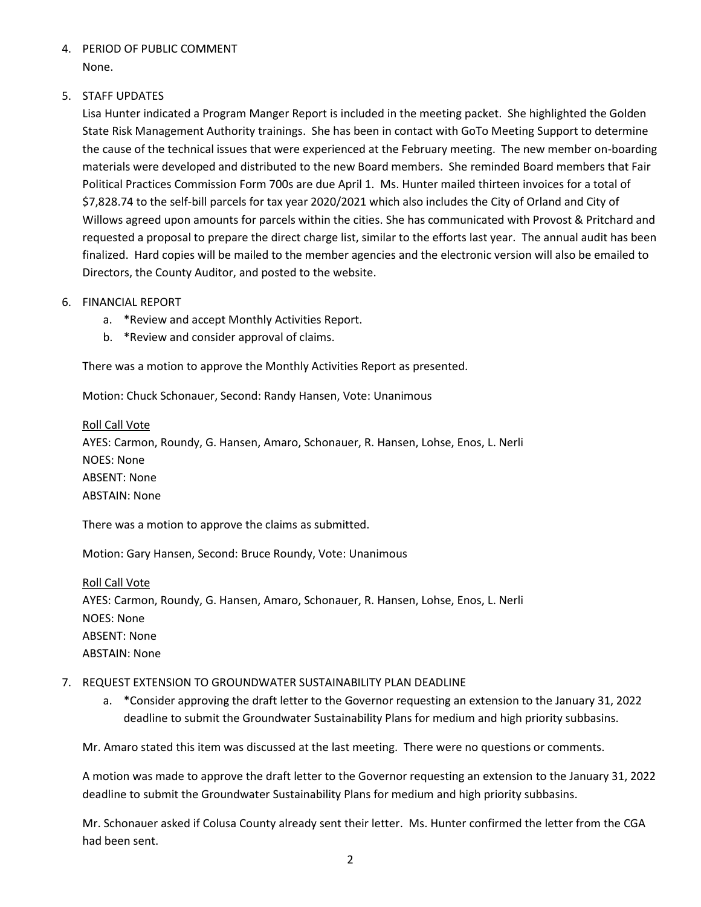4. PERIOD OF PUBLIC COMMENT None.

# 5. STAFF UPDATES

Lisa Hunter indicated a Program Manger Report is included in the meeting packet. She highlighted the Golden State Risk Management Authority trainings. She has been in contact with GoTo Meeting Support to determine the cause of the technical issues that were experienced at the February meeting. The new member on-boarding materials were developed and distributed to the new Board members. She reminded Board members that Fair Political Practices Commission Form 700s are due April 1. Ms. Hunter mailed thirteen invoices for a total of \$7,828.74 to the self-bill parcels for tax year 2020/2021 which also includes the City of Orland and City of Willows agreed upon amounts for parcels within the cities. She has communicated with Provost & Pritchard and requested a proposal to prepare the direct charge list, similar to the efforts last year. The annual audit has been finalized. Hard copies will be mailed to the member agencies and the electronic version will also be emailed to Directors, the County Auditor, and posted to the website.

#### 6. FINANCIAL REPORT

- a. \*Review and accept Monthly Activities Report.
- b. \*Review and consider approval of claims.

There was a motion to approve the Monthly Activities Report as presented.

Motion: Chuck Schonauer, Second: Randy Hansen, Vote: Unanimous

#### Roll Call Vote

AYES: Carmon, Roundy, G. Hansen, Amaro, Schonauer, R. Hansen, Lohse, Enos, L. Nerli NOES: None ABSENT: None ABSTAIN: None

There was a motion to approve the claims as submitted.

Motion: Gary Hansen, Second: Bruce Roundy, Vote: Unanimous

Roll Call Vote AYES: Carmon, Roundy, G. Hansen, Amaro, Schonauer, R. Hansen, Lohse, Enos, L. Nerli NOES: None ABSENT: None ABSTAIN: None

#### 7. REQUEST EXTENSION TO GROUNDWATER SUSTAINABILITY PLAN DEADLINE

a. \*Consider approving the draft letter to the Governor requesting an extension to the January 31, 2022 deadline to submit the Groundwater Sustainability Plans for medium and high priority subbasins.

Mr. Amaro stated this item was discussed at the last meeting. There were no questions or comments.

A motion was made to approve the draft letter to the Governor requesting an extension to the January 31, 2022 deadline to submit the Groundwater Sustainability Plans for medium and high priority subbasins.

Mr. Schonauer asked if Colusa County already sent their letter. Ms. Hunter confirmed the letter from the CGA had been sent.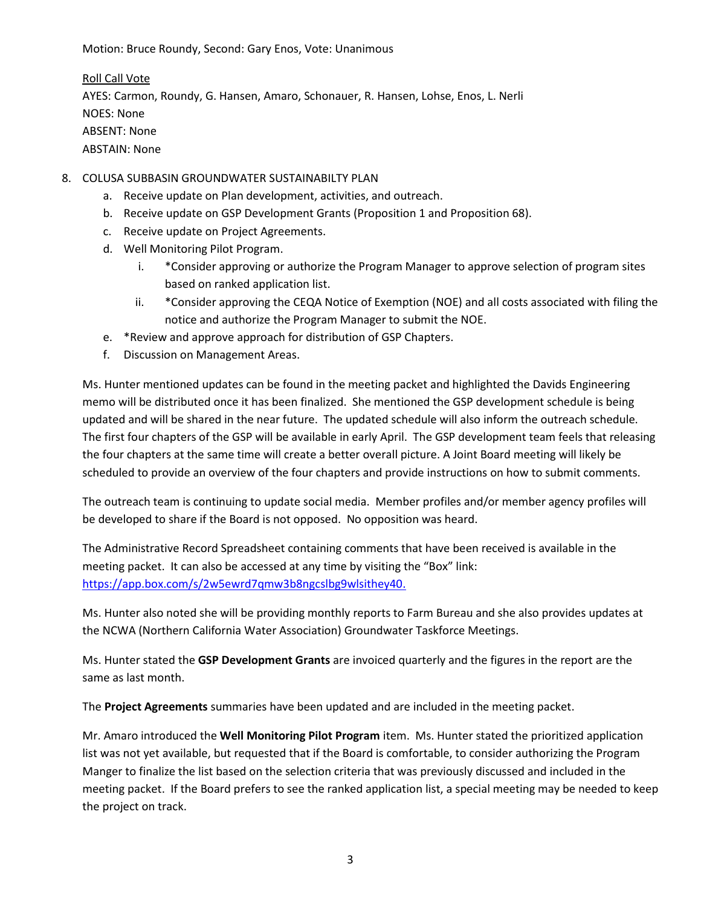Motion: Bruce Roundy, Second: Gary Enos, Vote: Unanimous

Roll Call Vote AYES: Carmon, Roundy, G. Hansen, Amaro, Schonauer, R. Hansen, Lohse, Enos, L. Nerli NOES: None ABSENT: None ABSTAIN: None

- 8. COLUSA SUBBASIN GROUNDWATER SUSTAINABILTY PLAN
	- a. Receive update on Plan development, activities, and outreach.
	- b. Receive update on GSP Development Grants (Proposition 1 and Proposition 68).
	- c. Receive update on Project Agreements.
	- d. Well Monitoring Pilot Program.
		- i. \*Consider approving or authorize the Program Manager to approve selection of program sites based on ranked application list.
		- ii. \*Consider approving the CEQA Notice of Exemption (NOE) and all costs associated with filing the notice and authorize the Program Manager to submit the NOE.
	- e. \*Review and approve approach for distribution of GSP Chapters.
	- f. Discussion on Management Areas.

Ms. Hunter mentioned updates can be found in the meeting packet and highlighted the Davids Engineering memo will be distributed once it has been finalized. She mentioned the GSP development schedule is being updated and will be shared in the near future. The updated schedule will also inform the outreach schedule. The first four chapters of the GSP will be available in early April. The GSP development team feels that releasing the four chapters at the same time will create a better overall picture. A Joint Board meeting will likely be scheduled to provide an overview of the four chapters and provide instructions on how to submit comments.

The outreach team is continuing to update social media. Member profiles and/or member agency profiles will be developed to share if the Board is not opposed. No opposition was heard.

The Administrative Record Spreadsheet containing comments that have been received is available in the meeting packet. It can also be accessed at any time by visiting the "Box" link: [https://app.box.com/s/2w5ewrd7qmw3b8ngcslbg9wlsithey40.](https://app.box.com/s/2w5ewrd7qmw3b8ngcslbg9wlsithey40)

Ms. Hunter also noted she will be providing monthly reports to Farm Bureau and she also provides updates at the NCWA (Northern California Water Association) Groundwater Taskforce Meetings.

Ms. Hunter stated the **GSP Development Grants** are invoiced quarterly and the figures in the report are the same as last month.

The **Project Agreements** summaries have been updated and are included in the meeting packet.

Mr. Amaro introduced the **Well Monitoring Pilot Program** item. Ms. Hunter stated the prioritized application list was not yet available, but requested that if the Board is comfortable, to consider authorizing the Program Manger to finalize the list based on the selection criteria that was previously discussed and included in the meeting packet. If the Board prefers to see the ranked application list, a special meeting may be needed to keep the project on track.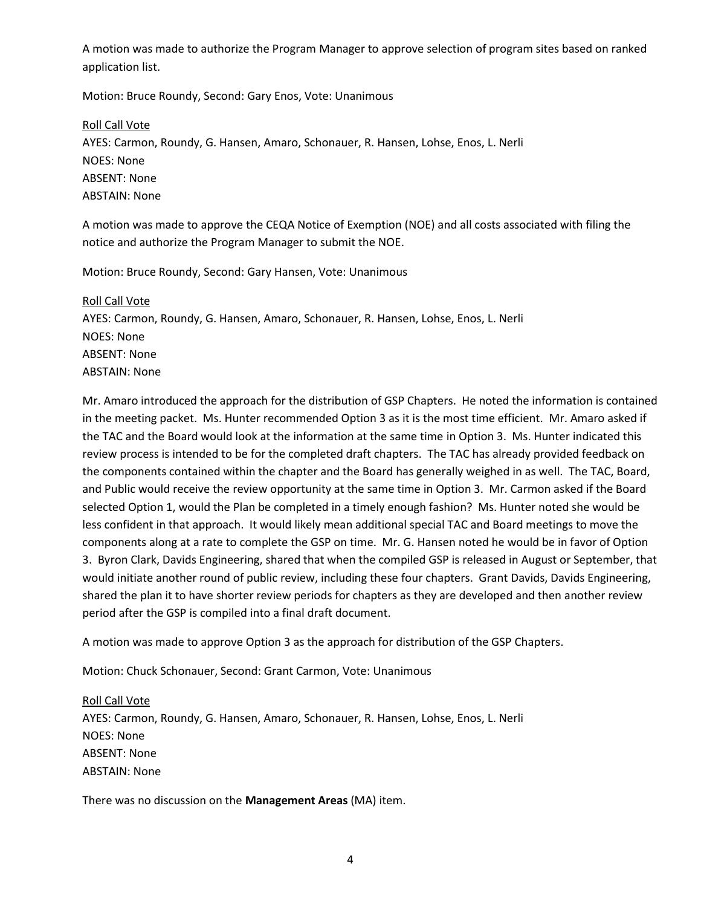A motion was made to authorize the Program Manager to approve selection of program sites based on ranked application list.

Motion: Bruce Roundy, Second: Gary Enos, Vote: Unanimous

Roll Call Vote AYES: Carmon, Roundy, G. Hansen, Amaro, Schonauer, R. Hansen, Lohse, Enos, L. Nerli NOES: None ABSENT: None ABSTAIN: None

A motion was made to approve the CEQA Notice of Exemption (NOE) and all costs associated with filing the notice and authorize the Program Manager to submit the NOE.

Motion: Bruce Roundy, Second: Gary Hansen, Vote: Unanimous

Roll Call Vote AYES: Carmon, Roundy, G. Hansen, Amaro, Schonauer, R. Hansen, Lohse, Enos, L. Nerli NOES: None ABSENT: None ABSTAIN: None

Mr. Amaro introduced the approach for the distribution of GSP Chapters. He noted the information is contained in the meeting packet. Ms. Hunter recommended Option 3 as it is the most time efficient. Mr. Amaro asked if the TAC and the Board would look at the information at the same time in Option 3. Ms. Hunter indicated this review process is intended to be for the completed draft chapters. The TAC has already provided feedback on the components contained within the chapter and the Board has generally weighed in as well. The TAC, Board, and Public would receive the review opportunity at the same time in Option 3. Mr. Carmon asked if the Board selected Option 1, would the Plan be completed in a timely enough fashion? Ms. Hunter noted she would be less confident in that approach. It would likely mean additional special TAC and Board meetings to move the components along at a rate to complete the GSP on time. Mr. G. Hansen noted he would be in favor of Option 3. Byron Clark, Davids Engineering, shared that when the compiled GSP is released in August or September, that would initiate another round of public review, including these four chapters. Grant Davids, Davids Engineering, shared the plan it to have shorter review periods for chapters as they are developed and then another review period after the GSP is compiled into a final draft document.

A motion was made to approve Option 3 as the approach for distribution of the GSP Chapters.

Motion: Chuck Schonauer, Second: Grant Carmon, Vote: Unanimous

#### Roll Call Vote

AYES: Carmon, Roundy, G. Hansen, Amaro, Schonauer, R. Hansen, Lohse, Enos, L. Nerli NOES: None ABSENT: None ABSTAIN: None

There was no discussion on the **Management Areas** (MA) item.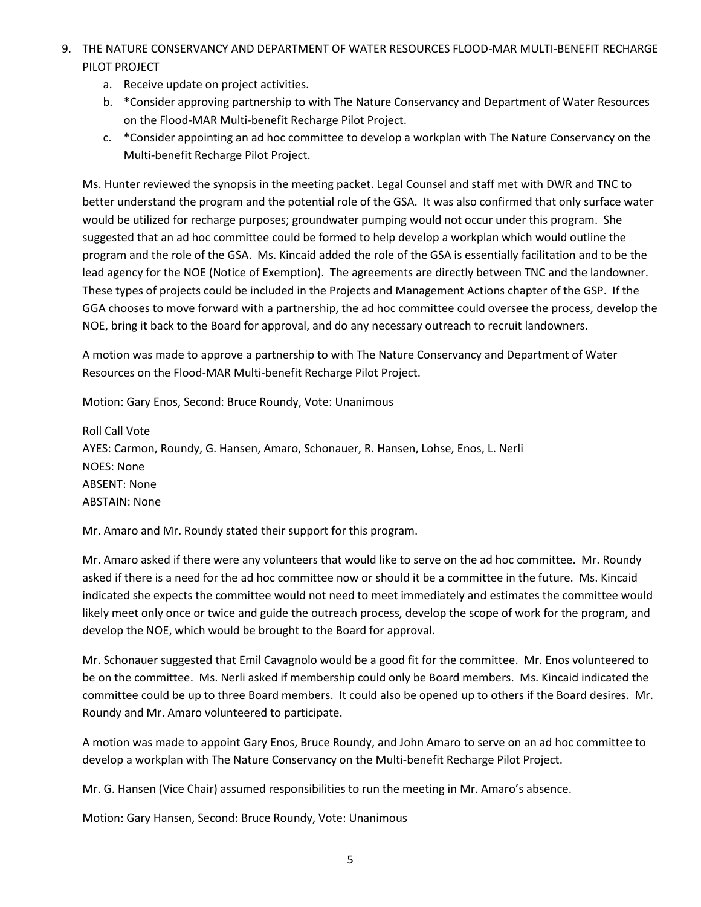- 9. THE NATURE CONSERVANCY AND DEPARTMENT OF WATER RESOURCES FLOOD-MAR MULTI-BENEFIT RECHARGE PILOT PROJECT
	- a. Receive update on project activities.
	- b. \*Consider approving partnership to with The Nature Conservancy and Department of Water Resources on the Flood-MAR Multi-benefit Recharge Pilot Project.
	- c. \*Consider appointing an ad hoc committee to develop a workplan with The Nature Conservancy on the Multi-benefit Recharge Pilot Project.

Ms. Hunter reviewed the synopsis in the meeting packet. Legal Counsel and staff met with DWR and TNC to better understand the program and the potential role of the GSA. It was also confirmed that only surface water would be utilized for recharge purposes; groundwater pumping would not occur under this program. She suggested that an ad hoc committee could be formed to help develop a workplan which would outline the program and the role of the GSA. Ms. Kincaid added the role of the GSA is essentially facilitation and to be the lead agency for the NOE (Notice of Exemption). The agreements are directly between TNC and the landowner. These types of projects could be included in the Projects and Management Actions chapter of the GSP. If the GGA chooses to move forward with a partnership, the ad hoc committee could oversee the process, develop the NOE, bring it back to the Board for approval, and do any necessary outreach to recruit landowners.

A motion was made to approve a partnership to with The Nature Conservancy and Department of Water Resources on the Flood-MAR Multi-benefit Recharge Pilot Project.

Motion: Gary Enos, Second: Bruce Roundy, Vote: Unanimous

Roll Call Vote AYES: Carmon, Roundy, G. Hansen, Amaro, Schonauer, R. Hansen, Lohse, Enos, L. Nerli NOES: None ABSENT: None ABSTAIN: None

Mr. Amaro and Mr. Roundy stated their support for this program.

Mr. Amaro asked if there were any volunteers that would like to serve on the ad hoc committee. Mr. Roundy asked if there is a need for the ad hoc committee now or should it be a committee in the future. Ms. Kincaid indicated she expects the committee would not need to meet immediately and estimates the committee would likely meet only once or twice and guide the outreach process, develop the scope of work for the program, and develop the NOE, which would be brought to the Board for approval.

Mr. Schonauer suggested that Emil Cavagnolo would be a good fit for the committee. Mr. Enos volunteered to be on the committee. Ms. Nerli asked if membership could only be Board members. Ms. Kincaid indicated the committee could be up to three Board members. It could also be opened up to others if the Board desires. Mr. Roundy and Mr. Amaro volunteered to participate.

A motion was made to appoint Gary Enos, Bruce Roundy, and John Amaro to serve on an ad hoc committee to develop a workplan with The Nature Conservancy on the Multi-benefit Recharge Pilot Project.

Mr. G. Hansen (Vice Chair) assumed responsibilities to run the meeting in Mr. Amaro's absence.

Motion: Gary Hansen, Second: Bruce Roundy, Vote: Unanimous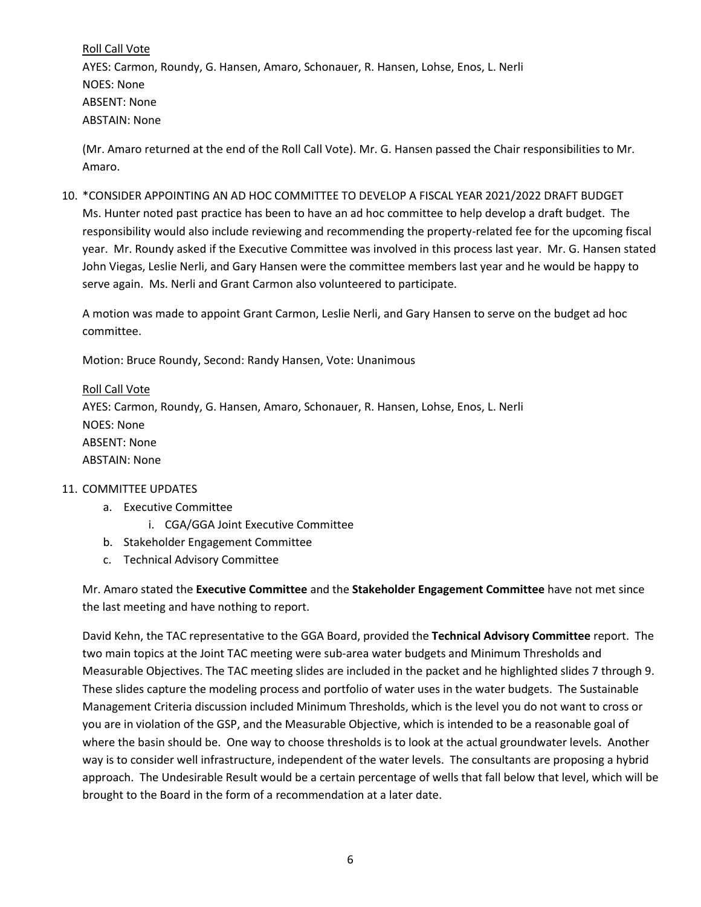Roll Call Vote AYES: Carmon, Roundy, G. Hansen, Amaro, Schonauer, R. Hansen, Lohse, Enos, L. Nerli NOES: None ABSENT: None ABSTAIN: None

(Mr. Amaro returned at the end of the Roll Call Vote). Mr. G. Hansen passed the Chair responsibilities to Mr. Amaro.

10. \*CONSIDER APPOINTING AN AD HOC COMMITTEE TO DEVELOP A FISCAL YEAR 2021/2022 DRAFT BUDGET Ms. Hunter noted past practice has been to have an ad hoc committee to help develop a draft budget. The responsibility would also include reviewing and recommending the property-related fee for the upcoming fiscal year. Mr. Roundy asked if the Executive Committee was involved in this process last year. Mr. G. Hansen stated John Viegas, Leslie Nerli, and Gary Hansen were the committee members last year and he would be happy to serve again. Ms. Nerli and Grant Carmon also volunteered to participate.

A motion was made to appoint Grant Carmon, Leslie Nerli, and Gary Hansen to serve on the budget ad hoc committee.

Motion: Bruce Roundy, Second: Randy Hansen, Vote: Unanimous

Roll Call Vote AYES: Carmon, Roundy, G. Hansen, Amaro, Schonauer, R. Hansen, Lohse, Enos, L. Nerli NOES: None ABSENT: None ABSTAIN: None

# 11. COMMITTEE UPDATES

- a. Executive Committee
	- i. CGA/GGA Joint Executive Committee
- b. Stakeholder Engagement Committee
- c. Technical Advisory Committee

Mr. Amaro stated the **Executive Committee** and the **Stakeholder Engagement Committee** have not met since the last meeting and have nothing to report.

David Kehn, the TAC representative to the GGA Board, provided the **Technical Advisory Committee** report. The two main topics at the Joint TAC meeting were sub-area water budgets and Minimum Thresholds and Measurable Objectives. The TAC meeting slides are included in the packet and he highlighted slides 7 through 9. These slides capture the modeling process and portfolio of water uses in the water budgets. The Sustainable Management Criteria discussion included Minimum Thresholds, which is the level you do not want to cross or you are in violation of the GSP, and the Measurable Objective, which is intended to be a reasonable goal of where the basin should be. One way to choose thresholds is to look at the actual groundwater levels. Another way is to consider well infrastructure, independent of the water levels. The consultants are proposing a hybrid approach. The Undesirable Result would be a certain percentage of wells that fall below that level, which will be brought to the Board in the form of a recommendation at a later date.